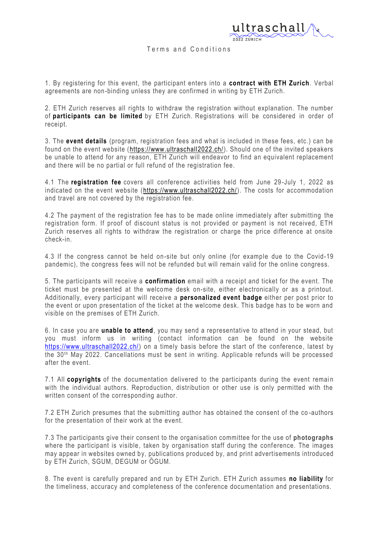

## Terms and Conditions

1. By registering for this event, the participant enters into a **contract with ETH Zurich**. Verbal agreements are non-binding unless they are confirmed in writing by ETH Zurich.

2. ETH Zurich reserves all rights to withdraw the registration without explanation. The number of **participants can be limited** by ETH Zurich. Registrations will be considered in order of receipt.

3. The **event details** (program, registration fees and what is included in these fees, etc.) can be found on the event website [\(https://www.ultraschall2022.ch/\)](https://www.ultraschall2022.ch/). Should one of the invited speakers be unable to attend for any reason, ETH Zurich will endeavor to find an equivalent replacement and there will be no partial or full refund of the registration fee.

4.1 The **registration fee** covers all conference activities held from June 29 -July 1, 2022 as indicated on the event website [\(https://www.ultraschall2022.ch/\)](https://www.ultraschall2022.ch/). The costs for accommodation and travel are not covered by the registration fee.

4.2 The payment of the registration fee has to be made online immediately after submitting the registration form. If proof of discount status is not provided or payment is not received, ETH Zurich reserves all rights to withdraw the registration or charge the price difference at onsite check-in.

4.3 If the congress cannot be held on-site but only online (for example due to the Covid-19 pandemic), the congress fees will not be refunded but will remain valid for the online congress.

5. The participants will receive a **confirmation** email with a receipt and ticket for the event. The ticket must be presented at the welcome desk on-site, either electronically or as a printout. Additionally, every participant will receive a **personalized event badge** either per post prior to the event or upon presentation of the ticket at the welcome desk. This badge has to be worn and visible on the premises of ETH Zurich.

6. In case you are **unable to attend**, you may send a representative to attend in your stead, but you must inform us in writing (contact information can be found on the website [https://www.ultraschall2022.ch/\)](https://www.ultraschall2022.ch/) on a timely basis before the start of the conference, latest by the 30<sup>th</sup> May 2022. Cancellations must be sent in writing. Applicable refunds will be processed after the event.

7.1 All **copyrights** of the documentation delivered to the participants during the event remai n with the individual authors. Reproduction, distribution or other use is only permitted with the written consent of the corresponding author.

7.2 ETH Zurich presumes that the submitting author has obtained the consent of the co -authors for the presentation of their work at the event.

7.3 The participants give their consent to the organisation committee for the use of **photographs** where the participant is visible, taken by organisation staff during the conference. The images may appear in websites owned by, publications produced by, and print advertisements introduced by ETH Zurich, SGUM, DEGUM or ÖGUM.

8. The event is carefully prepared and run by ETH Zurich. ETH Zurich assumes **no liability** for the timeliness, accuracy and completeness of the conference documentation and presentations.